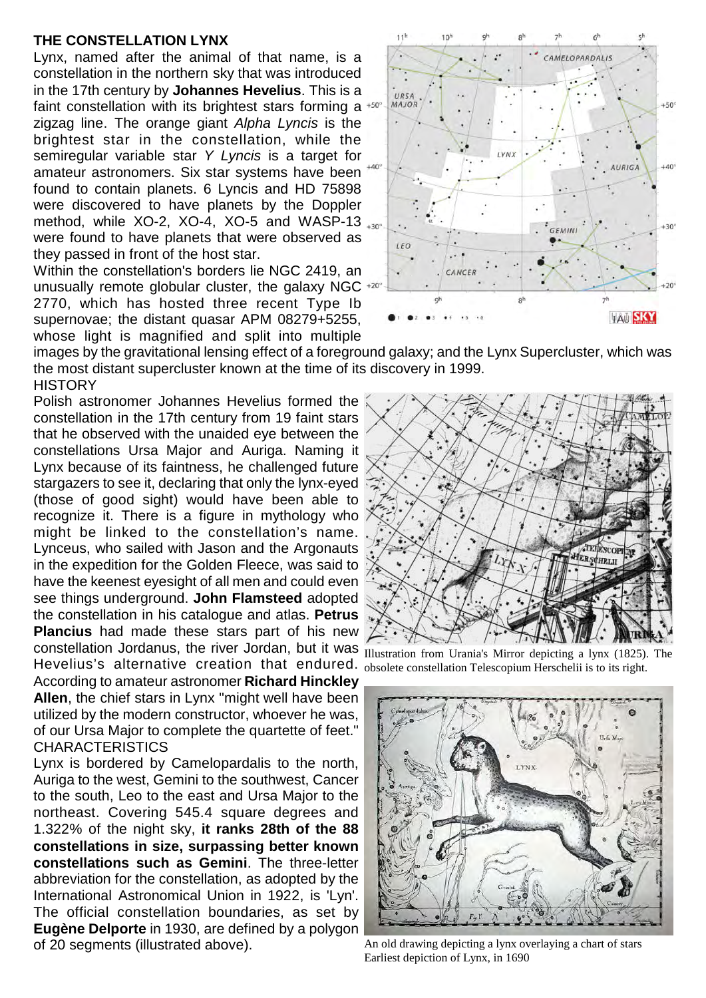## **THE CONSTELLATION LYNX**

Lynx, named after the animal of that name, is a constellation in the northern sky that was introduced in the 17th century by **Johannes Hevelius**. This is a faint constellation with its brightest stars forming a  $+50^\circ$ zigzag line. The orange giant *Alpha Lyncis* is the brightest star in the constellation, while the semiregular variable star *Y Lyncis* is a target for amateur astronomers. Six star systems have been found to contain planets. 6 Lyncis and HD 75898 were discovered to have planets by the Doppler method, while XO-2, XO-4, XO-5 and WASP-13 were found to have planets that were observed as they passed in front of the host star.

Within the constellation's borders lie NGC 2419, an unusually remote globular cluster, the galaxy NGC  $+20^\circ$ 2770, which has hosted three recent Type Ib supernovae; the distant quasar APM 08279+5255, whose light is magnified and split into multiple



images by the gravitational lensing effect of a foreground galaxy; and the Lynx Supercluster, which was the most distant supercluster known at the time of its discovery in 1999. **HISTORY** 

constellation Jordanus, the river Jordan, but it was **Illustration from Urania's Mirror depicting a** lynx (1825). The Polish astronomer Johannes Hevelius formed the constellation in the 17th century from 19 faint stars that he observed with the unaided eye between the constellations Ursa Major and Auriga. Naming it Lynx because of its faintness, he challenged future stargazers to see it, declaring that only the lynx-eyed (those of good sight) would have been able to recognize it. There is a figure in mythology who might be linked to the constellation's name. Lynceus, who sailed with Jason and the Argonauts in the expedition for the Golden Fleece, was said to have the keenest eyesight of all men and could even see things underground. **John Flamsteed** adopted the constellation in his catalogue and atlas. **Petrus Plancius** had made these stars part of his new Hevelius's alternative creation that endured. According to amateur astronomer **Richard Hinckley Allen**, the chief stars in Lynx "might well have been utilized by the modern constructor, whoever he was, of our Ursa Major to complete the quartette of feet."

Lynx is bordered by Camelopardalis to the north, Auriga to the west, Gemini to the southwest, Cancer to the south, Leo to the east and Ursa Major to the northeast. Covering 545.4 square degrees and 1.322% of the night sky, **it ranks 28th of the 88 constellations in size, surpassing better known constellations such as Gemini**. The three-letter abbreviation for the constellation, as adopted by the International Astronomical Union in 1922, is 'Lyn'. The official constellation boundaries, as set by **Eugène Delporte** in 1930, are defined by a polygon of 20 segments (illustrated above).

**CHARACTERISTICS** 



obsolete constellation Telescopium Herschelii is to its right.



An old drawing depicting a lynx overlaying a chart of stars Earliest depiction of Lynx, in 1690